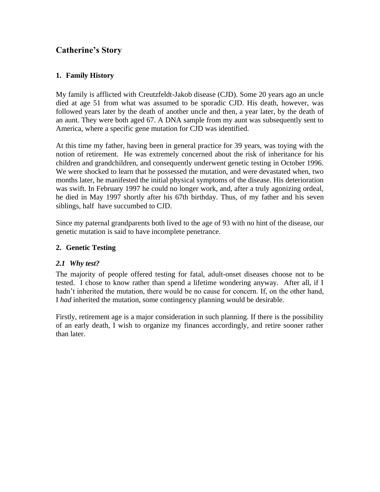# **Catherine's Story**

## **1. Family History**

My family is afflicted with Creutzfeldt-Jakob disease (CJD). Some 20 years ago an uncle died at age 51 from what was assumed to be sporadic CJD. His death, however, was followed years later by the death of another uncle and then, a year later, by the death of an aunt. They were both aged 67. A DNA sample from my aunt was subsequently sent to America, where a specific gene mutation for CJD was identified.

At this time my father, having been in general practice for 39 years, was toying with the notion of retirement. He was extremely concerned about the risk of inheritance for his children and grandchildren, and consequently underwent genetic testing in October 1996. We were shocked to learn that he possessed the mutation, and were devastated when, two months later, he manifested the initial physical symptoms of the disease. His deterioration was swift. In February 1997 he could no longer work, and, after a truly agonizing ordeal, he died in May 1997 shortly after his 67th birthday. Thus, of my father and his seven siblings, half have succumbed to CJD.

Since my paternal grandparents both lived to the age of 93 with no hint of the disease, our genetic mutation is said to have incomplete penetrance.

#### **2. Genetic Testing**

#### *2.1 Why test?*

The majority of people offered testing for fatal, adult-onset diseases choose not to be tested. I chose to know rather than spend a lifetime wondering anyway. After all, if I hadn't inherited the mutation, there would be no cause for concern. If, on the other hand, I *had* inherited the mutation, some contingency planning would be desirable.

Firstly, retirement age is a major consideration in such planning. If there is the possibility of an early death, I wish to organize my finances accordingly, and retire sooner rather than later.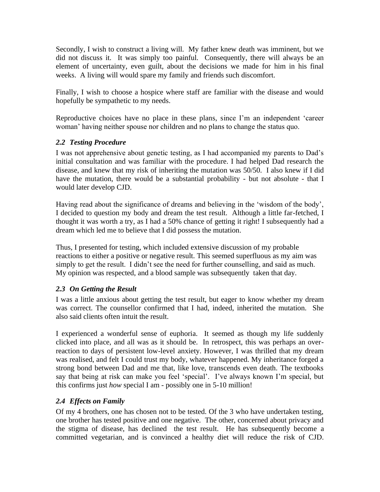Secondly, I wish to construct a living will. My father knew death was imminent, but we did not discuss it. It was simply too painful. Consequently, there will always be an element of uncertainty, even guilt, about the decisions we made for him in his final weeks. A living will would spare my family and friends such discomfort.

Finally, I wish to choose a hospice where staff are familiar with the disease and would hopefully be sympathetic to my needs.

Reproductive choices have no place in these plans, since I'm an independent 'career woman' having neither spouse nor children and no plans to change the status quo.

# *2.2 Testing Procedure*

I was not apprehensive about genetic testing, as I had accompanied my parents to Dad's initial consultation and was familiar with the procedure. I had helped Dad research the disease, and knew that my risk of inheriting the mutation was 50/50. I also knew if I did have the mutation, there would be a substantial probability - but not absolute - that I would later develop CJD.

Having read about the significance of dreams and believing in the 'wisdom of the body', I decided to question my body and dream the test result. Although a little far-fetched, I thought it was worth a try, as I had a 50% chance of getting it right! I subsequently had a dream which led me to believe that I did possess the mutation.

Thus, I presented for testing, which included extensive discussion of my probable reactions to either a positive or negative result. This seemed superfluous as my aim was simply to get the result. I didn't see the need for further counselling, and said as much. My opinion was respected, and a blood sample was subsequently taken that day.

# *2.3 On Getting the Result*

I was a little anxious about getting the test result, but eager to know whether my dream was correct. The counsellor confirmed that I had, indeed, inherited the mutation. She also said clients often intuit the result.

I experienced a wonderful sense of euphoria. It seemed as though my life suddenly clicked into place, and all was as it should be. In retrospect, this was perhaps an overreaction to days of persistent low-level anxiety. However, I was thrilled that my dream was realised, and felt I could trust my body, whatever happened. My inheritance forged a strong bond between Dad and me that, like love, transcends even death. The textbooks say that being at risk can make you feel 'special'. I've always known I'm special, but this confirms just *how* special I am - possibly one in 5-10 million!

# *2.4 Effects on Family*

Of my 4 brothers, one has chosen not to be tested. Of the 3 who have undertaken testing, one brother has tested positive and one negative. The other, concerned about privacy and the stigma of disease, has declined the test result. He has subsequently become a committed vegetarian, and is convinced a healthy diet will reduce the risk of CJD.